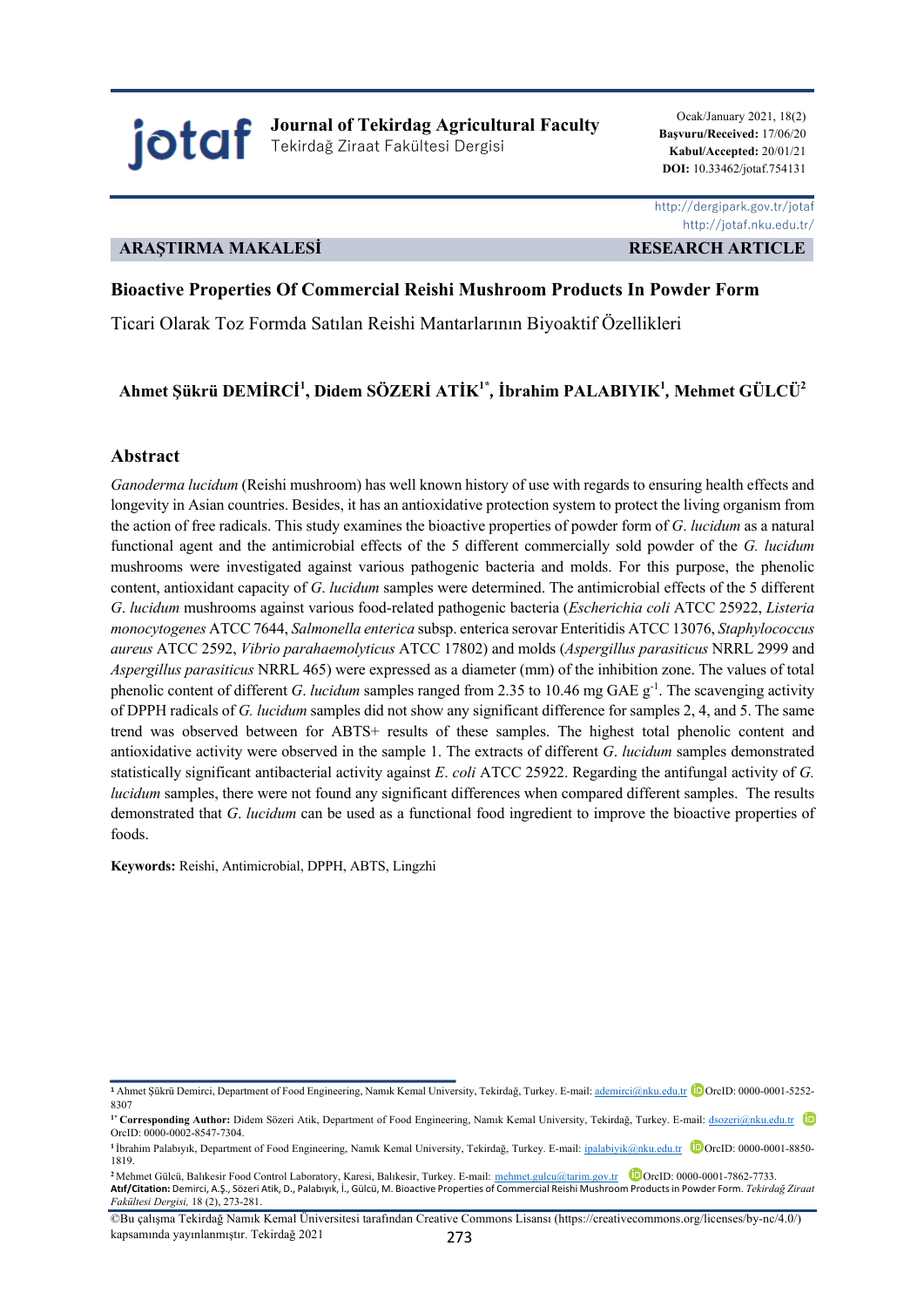jotaf **Journal of Tekirdag Agricultural Faculty** Tekirdağ Ziraat Fakültesi Dergisi

Ocak/January 2021, 18(2) **Başvuru/Received:** 17/06/20 **Kabul/Accepted:** 20/01/21  **DOI:** 10.33462/jotaf.754131

### **ARAŞTIRMA MAKALESİ RESEARCH ARTICLE**

 http://dergipark.gov.tr/jotaf http://jotaf.nku.edu.tr/

### **Bioactive Properties Of Commercial Reishi Mushroom Products In Powder Form**

Ticari Olarak Toz Formda Satılan Reishi Mantarlarının Biyoaktif Özellikleri

# **Ahmet Şükrü DEMİRCİ1 , Didem SÖZERİ ATİK1\****,* **İbrahim PALABIYIK1** *,* **Mehmet GÜLCÜ2**

#### **Abstract**

*Ganoderma lucidum* (Reishi mushroom) has well known history of use with regards to ensuring health effects and longevity in Asian countries. Besides, it has an antioxidative protection system to protect the living organism from the action of free radicals. This study examines the bioactive properties of powder form of *G*. *lucidum* as a natural functional agent and the antimicrobial effects of the 5 different commercially sold powder of the *G. lucidum* mushrooms were investigated against various pathogenic bacteria and molds. For this purpose, the phenolic content, antioxidant capacity of *G*. *lucidum* samples were determined. The antimicrobial effects of the 5 different *G*. *lucidum* mushrooms against various food-related pathogenic bacteria (*Escherichia coli* ATCC 25922, *Listeria monocytogenes* ATCC 7644, *Salmonella enterica* subsp. enterica serovar Enteritidis ATCC 13076, *Staphylococcus aureus* ATCC 2592, *Vibrio parahaemolyticus* ATCC 17802) and molds (*Aspergillus parasiticus* NRRL 2999 and *Aspergillus parasiticus* NRRL 465) were expressed as a diameter (mm) of the inhibition zone. The values of total phenolic content of different *G. lucidum* samples ranged from 2.35 to 10.46 mg GAE  $g^{-1}$ . The scavenging activity of DPPH radicals of *G. lucidum* samples did not show any significant difference for samples 2, 4, and 5. The same trend was observed between for ABTS+ results of these samples. The highest total phenolic content and antioxidative activity were observed in the sample 1. The extracts of different *G*. *lucidum* samples demonstrated statistically significant antibacterial activity against *E*. *coli* ATCC 25922. Regarding the antifungal activity of *G. lucidum* samples, there were not found any significant differences when compared different samples. The results demonstrated that *G*. *lucidum* can be used as a functional food ingredient to improve the bioactive properties of foods.

**Keywords:** Reishi, Antimicrobial, DPPH, ABTS, Lingzhi

**<sup>1</sup>** Ahmet Şükrü Demirci, Department of Food Engineering, Namık Kemal University, Tekirdağ, Turkey. E-mail: ademirci@nku.edu.tr OrcID: 0000-0001-5252- 8307

**<sup>1\*</sup> Corresponding Author:** Didem Sözeri Atik, Department of Food Engineering, Namık Kemal University, Tekirdağ, Turkey. E-mail: dsozeri@nku.edu.tr OrcID: 0000-0002-8547-7304.

<sup>&</sup>lt;sup>1</sup> İbrahim Palabıyık, Department of Food Engineering, Namık Kemal University, Tekirdağ, Turkey. E-mail: ipalabiyik@nku.edu.tr **D**OrcID: 0000-0001-8850-1819.

<sup>&</sup>lt;sup>2</sup>Mehmet Gülcü, Balıkesir Food Control Laboratory, Karesi, Balıkesir, Turkey. E-mail: mehmet.gulcu@tarim.gov.tr **D**OrcID: 0000-0001-7862-7733. **Atıf/Citation:** Demirci, A.Ş., Sözeri Atik, D., Palabıyık, İ., Gülcü, M. Bioactive Properties of Commercial Reishi Mushroom Products in Powder Form. *Tekirdağ Ziraat Fakültesi Dergisi,* 18 (2), 273-281.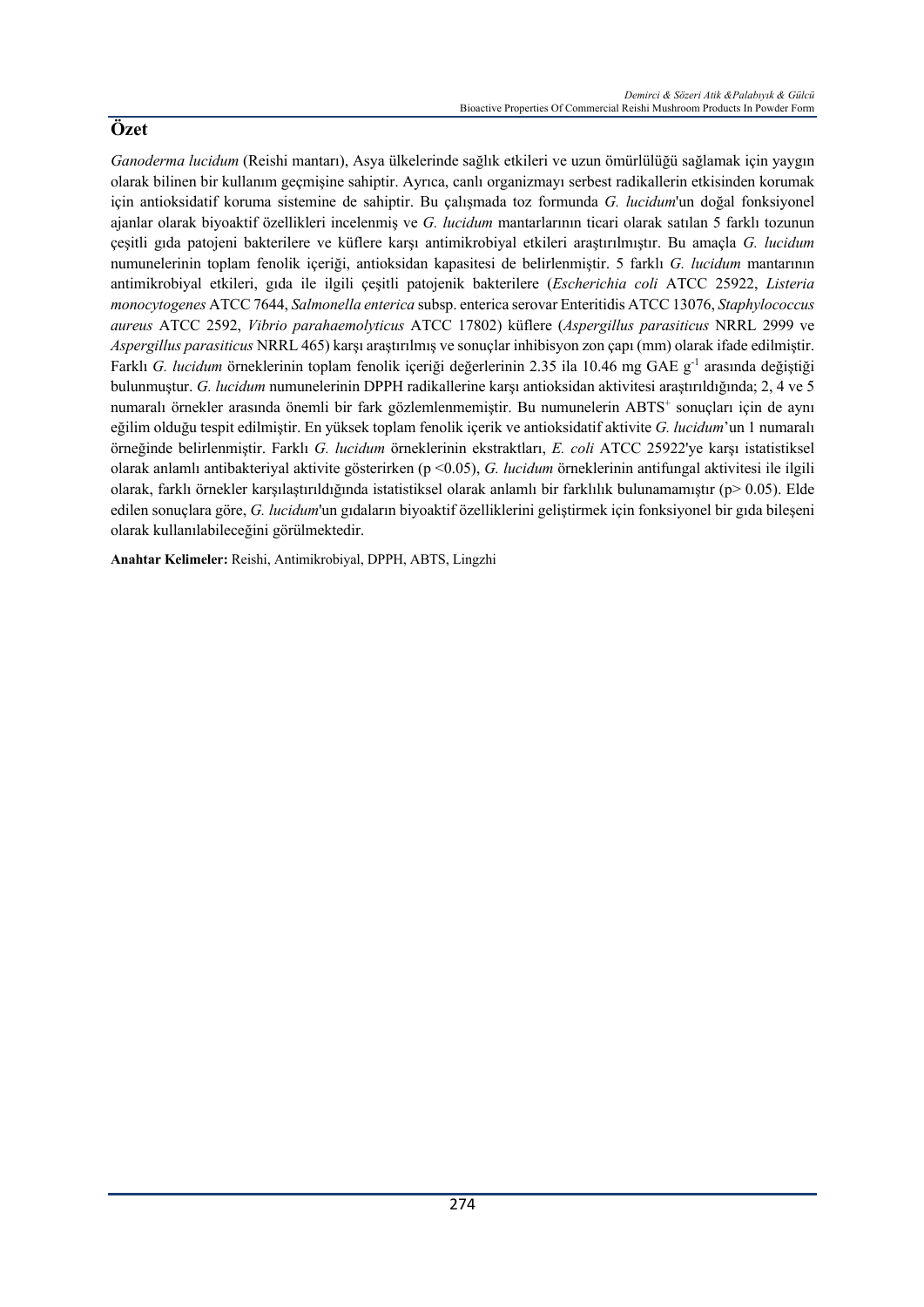*Ganoderma lucidum* (Reishi mantarı), Asya ülkelerinde sağlık etkileri ve uzun ömürlülüğü sağlamak için yaygın olarak bilinen bir kullanım geçmişine sahiptir. Ayrıca, canlı organizmayı serbest radikallerin etkisinden korumak için antioksidatif koruma sistemine de sahiptir. Bu çalışmada toz formunda *G. lucidum*'un doğal fonksiyonel ajanlar olarak biyoaktif özellikleri incelenmiş ve *G. lucidum* mantarlarının ticari olarak satılan 5 farklı tozunun çeşitli gıda patojeni bakterilere ve küflere karşı antimikrobiyal etkileri araştırılmıştır. Bu amaçla *G. lucidum* numunelerinin toplam fenolik içeriği, antioksidan kapasitesi de belirlenmiştir. 5 farklı *G. lucidum* mantarının antimikrobiyal etkileri, gıda ile ilgili çeşitli patojenik bakterilere (*Escherichia coli* ATCC 25922, *Listeria monocytogenes* ATCC 7644, *Salmonella enterica* subsp. enterica serovar Enteritidis ATCC 13076, *Staphylococcus aureus* ATCC 2592, *Vibrio parahaemolyticus* ATCC 17802) küflere (*Aspergillus parasiticus* NRRL 2999 ve *Aspergillus parasiticus* NRRL 465) karşı araştırılmış ve sonuçlar inhibisyon zon çapı (mm) olarak ifade edilmiştir. Farklı *G. lucidum* örneklerinin toplam fenolik içeriği değerlerinin 2.35 ila 10.46 mg GAE g-1 arasında değiştiği bulunmuştur. *G. lucidum* numunelerinin DPPH radikallerine karşı antioksidan aktivitesi araştırıldığında; 2, 4 ve 5 numaralı örnekler arasında önemli bir fark gözlemlenmemiştir. Bu numunelerin ABTS+ sonuçları için de aynı eğilim olduğu tespit edilmiştir. En yüksek toplam fenolik içerik ve antioksidatif aktivite *G. lucidum*'un 1 numaralı örneğinde belirlenmiştir. Farklı *G. lucidum* örneklerinin ekstraktları, *E. coli* ATCC 25922'ye karşı istatistiksel olarak anlamlı antibakteriyal aktivite gösterirken (p <0.05), *G. lucidum* örneklerinin antifungal aktivitesi ile ilgili olarak, farklı örnekler karşılaştırıldığında istatistiksel olarak anlamlı bir farklılık bulunamamıştır (p> 0.05). Elde edilen sonuçlara göre, *G. lucidum*'un gıdaların biyoaktif özelliklerini geliştirmek için fonksiyonel bir gıda bileşeni olarak kullanılabileceğini görülmektedir.

**Anahtar Kelimeler:** Reishi, Antimikrobiyal, DPPH, ABTS, Lingzhi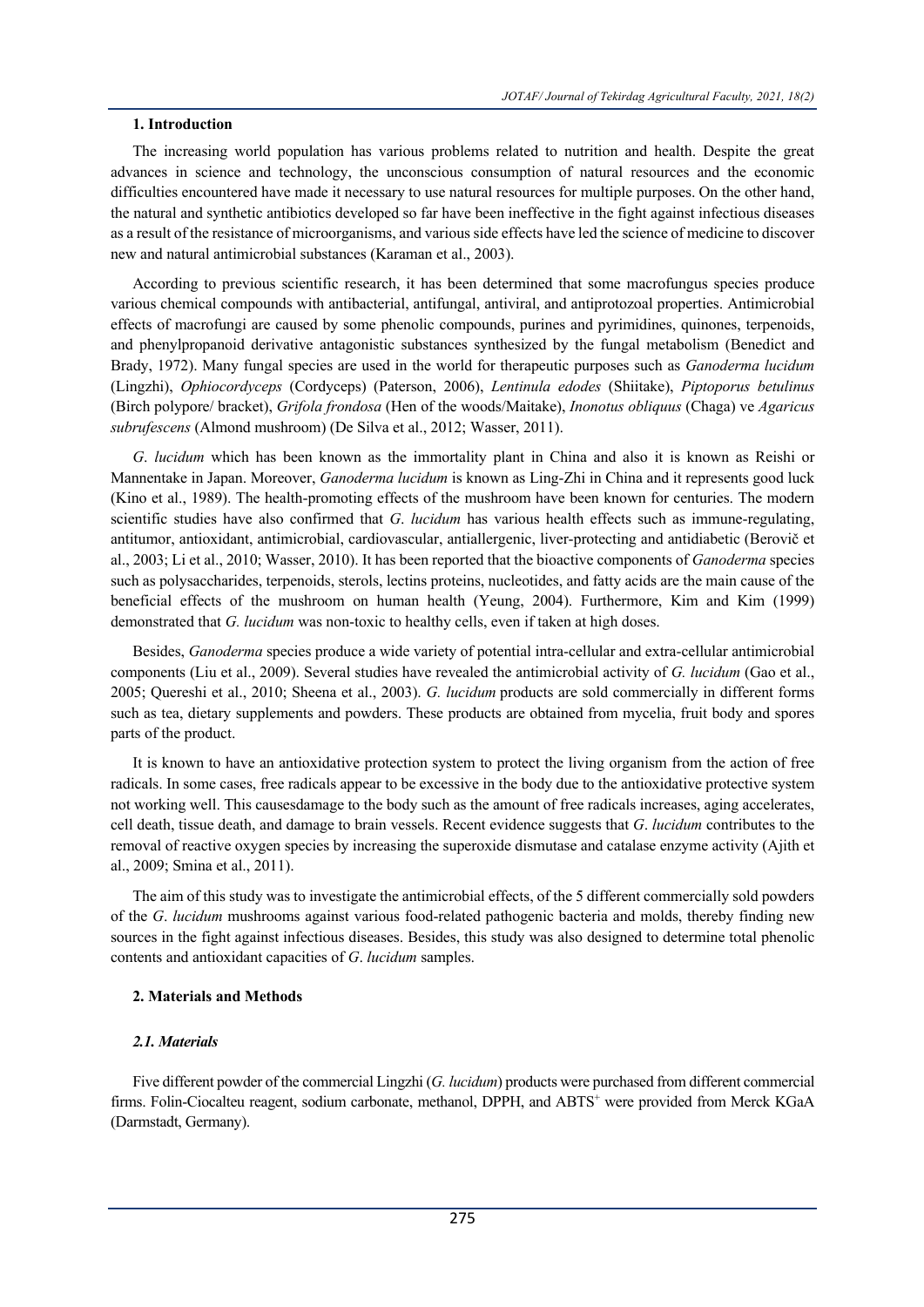## **1. Introduction**

The increasing world population has various problems related to nutrition and health. Despite the great advances in science and technology, the unconscious consumption of natural resources and the economic difficulties encountered have made it necessary to use natural resources for multiple purposes. On the other hand, the natural and synthetic antibiotics developed so far have been ineffective in the fight against infectious diseases as a result of the resistance of microorganisms, and various side effects have led the science of medicine to discover new and natural antimicrobial substances (Karaman et al., 2003).

According to previous scientific research, it has been determined that some macrofungus species produce various chemical compounds with antibacterial, antifungal, antiviral, and antiprotozoal properties. Antimicrobial effects of macrofungi are caused by some phenolic compounds, purines and pyrimidines, quinones, terpenoids, and phenylpropanoid derivative antagonistic substances synthesized by the fungal metabolism (Benedict and Brady, 1972). Many fungal species are used in the world for therapeutic purposes such as *Ganoderma lucidum* (Lingzhi), *Ophiocordyceps* (Cordyceps) (Paterson, 2006), *Lentinula edodes* (Shiitake), *Piptoporus betulinus* (Birch polypore/ bracket), *Grifola frondosa* (Hen of the woods/Maitake), *Inonotus obliquus* (Chaga) ve *Agaricus subrufescens* (Almond mushroom) (De Silva et al., 2012; Wasser, 2011).

*G*. *lucidum* which has been known as the immortality plant in China and also it is known as Reishi or Mannentake in Japan. Moreover, *Ganoderma lucidum* is known as Ling-Zhi in China and it represents good luck (Kino et al., 1989). The health-promoting effects of the mushroom have been known for centuries. The modern scientific studies have also confirmed that *G*. *lucidum* has various health effects such as immune-regulating, antitumor, antioxidant, antimicrobial, cardiovascular, antiallergenic, liver-protecting and antidiabetic (Berovič et al., 2003; Li et al., 2010; Wasser, 2010). It has been reported that the bioactive components of *Ganoderma* species such as polysaccharides, terpenoids, sterols, lectins proteins, nucleotides, and fatty acids are the main cause of the beneficial effects of the mushroom on human health (Yeung, 2004). Furthermore, Kim and Kim (1999) demonstrated that *G. lucidum* was non-toxic to healthy cells, even if taken at high doses.

Besides, *Ganoderma* species produce a wide variety of potential intra-cellular and extra-cellular antimicrobial components (Liu et al., 2009). Several studies have revealed the antimicrobial activity of *G. lucidum* (Gao et al., 2005; Quereshi et al., 2010; Sheena et al., 2003). *G. lucidum* products are sold commercially in different forms such as tea, dietary supplements and powders. These products are obtained from mycelia, fruit body and spores parts of the product.

It is known to have an antioxidative protection system to protect the living organism from the action of free radicals. In some cases, free radicals appear to be excessive in the body due to the antioxidative protective system not working well. This causesdamage to the body such as the amount of free radicals increases, aging accelerates, cell death, tissue death, and damage to brain vessels. Recent evidence suggests that *G*. *lucidum* contributes to the removal of reactive oxygen species by increasing the superoxide dismutase and catalase enzyme activity (Ajith et al., 2009; Smina et al., 2011).

The aim of this study was to investigate the antimicrobial effects, of the 5 different commercially sold powders of the *G*. *lucidum* mushrooms against various food-related pathogenic bacteria and molds, thereby finding new sources in the fight against infectious diseases. Besides, this study was also designed to determine total phenolic contents and antioxidant capacities of *G*. *lucidum* samples.

# **2. Materials and Methods**

# *2.1. Materials*

Five different powder of the commercial Lingzhi (*G. lucidum*) products were purchased from different commercial firms. Folin-Ciocalteu reagent, sodium carbonate, methanol, DPPH, and ABTS<sup>+</sup> were provided from Merck KGaA (Darmstadt, Germany).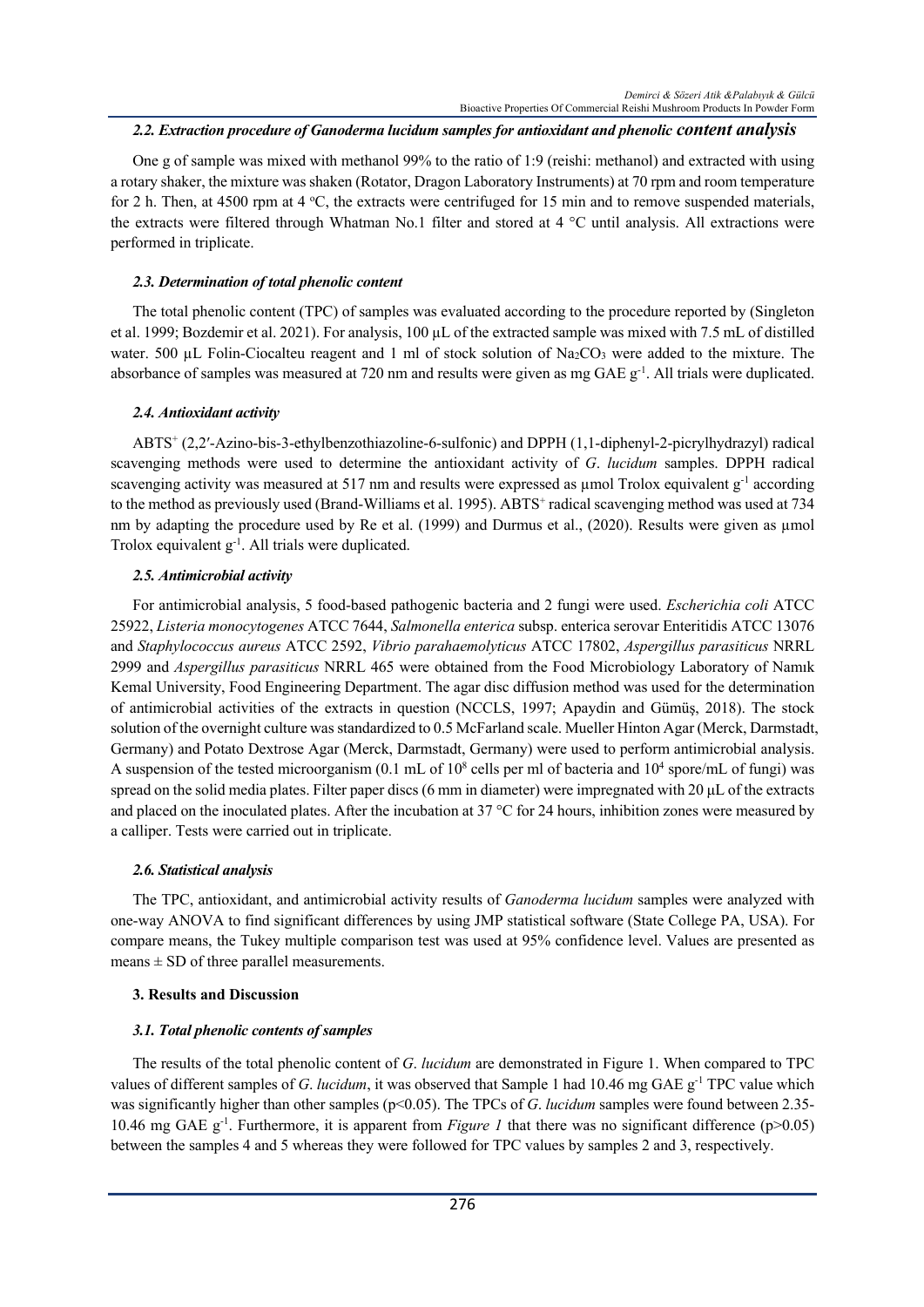## *2.2. Extraction procedure of Ganoderma lucidum samples for antioxidant and phenolic content analysis*

One g of sample was mixed with methanol 99% to the ratio of 1:9 (reishi: methanol) and extracted with using a rotary shaker, the mixture was shaken (Rotator, Dragon Laboratory Instruments) at 70 rpm and room temperature for 2 h. Then, at 4500 rpm at 4 °C, the extracts were centrifuged for 15 min and to remove suspended materials, the extracts were filtered through Whatman No.1 filter and stored at 4 °C until analysis. All extractions were performed in triplicate.

## *2.3. Determination of total phenolic content*

The total phenolic content (TPC) of samples was evaluated according to the procedure reported by (Singleton et al. 1999; Bozdemir et al. 2021). For analysis, 100 µL of the extracted sample was mixed with 7.5 mL of distilled water. 500 µL Folin-Ciocalteu reagent and 1 ml of stock solution of  $Na_2CO_3$  were added to the mixture. The absorbance of samples was measured at 720 nm and results were given as mg GAE  $g^{-1}$ . All trials were duplicated.

# *2.4. Antioxidant activity*

ABTS+ (2,2′-Azino-bis-3-ethylbenzothiazoline-6-sulfonic) and DPPH (1,1-diphenyl-2-picrylhydrazyl) radical scavenging methods were used to determine the antioxidant activity of *G*. *lucidum* samples. DPPH radical scavenging activity was measured at 517 nm and results were expressed as µmol Trolox equivalent g<sup>-1</sup> according to the method as previously used (Brand-Williams et al. 1995). ABTS<sup>+</sup> radical scavenging method was used at 734 nm by adapting the procedure used by Re et al. (1999) and Durmus et al., (2020). Results were given as µmol Trolox equivalent g<sup>-1</sup>. All trials were duplicated.

### *2.5. Antimicrobial activity*

For antimicrobial analysis, 5 food-based pathogenic bacteria and 2 fungi were used. *Escherichia coli* ATCC 25922, *Listeria monocytogenes* ATCC 7644, *Salmonella enterica* subsp. enterica serovar Enteritidis ATCC 13076 and *Staphylococcus aureus* ATCC 2592, *Vibrio parahaemolyticus* ATCC 17802, *Aspergillus parasiticus* NRRL 2999 and *Aspergillus parasiticus* NRRL 465 were obtained from the Food Microbiology Laboratory of Namık Kemal University, Food Engineering Department. The agar disc diffusion method was used for the determination of antimicrobial activities of the extracts in question (NCCLS, 1997; Apaydin and Gümüş, 2018). The stock solution of the overnight culture was standardized to 0.5 McFarland scale. Mueller Hinton Agar (Merck, Darmstadt, Germany) and Potato Dextrose Agar (Merck, Darmstadt, Germany) were used to perform antimicrobial analysis. A suspension of the tested microorganism (0.1 mL of  $10^8$  cells per ml of bacteria and  $10^4$  spore/mL of fungi) was spread on the solid media plates. Filter paper discs (6 mm in diameter) were impregnated with 20  $\mu$ L of the extracts and placed on the inoculated plates. After the incubation at  $37^{\circ}$ C for 24 hours, inhibition zones were measured by a calliper. Tests were carried out in triplicate.

# *2.6. Statistical analysis*

The TPC, antioxidant, and antimicrobial activity results of *Ganoderma lucidum* samples were analyzed with one-way ANOVA to find significant differences by using JMP statistical software (State College PA, USA). For compare means, the Tukey multiple comparison test was used at 95% confidence level. Values are presented as means  $\pm$  SD of three parallel measurements.

# **3. Results and Discussion**

# *3.1. Total phenolic contents of samples*

The results of the total phenolic content of *G*. *lucidum* are demonstrated in Figure 1. When compared to TPC values of different samples of *G*. *lucidum*, it was observed that Sample 1 had 10.46 mg GAE g<sup>-1</sup> TPC value which was significantly higher than other samples (p<0.05). The TPCs of *G. lucidum* samples were found between 2.35-10.46 mg GAE g<sup>-1</sup>. Furthermore, it is apparent from *Figure 1* that there was no significant difference (p>0.05) between the samples 4 and 5 whereas they were followed for TPC values by samples 2 and 3, respectively.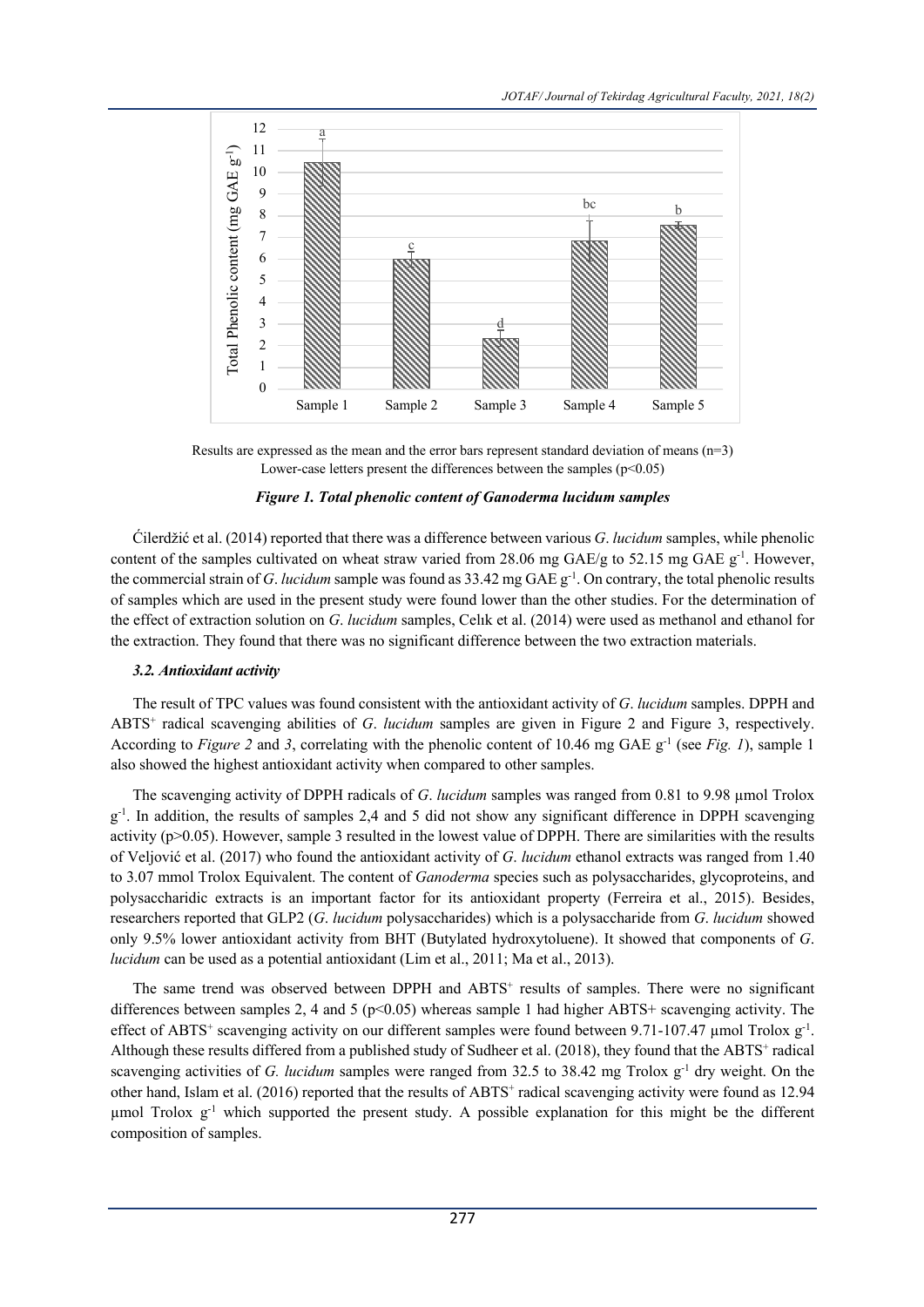

Results are expressed as the mean and the error bars represent standard deviation of means  $(n=3)$ Lower-case letters present the differences between the samples  $(p<0.05)$ 

# *Figure 1. Total phenolic content of Ganoderma lucidum samples*

Ćilerdžić et al. (2014) reported that there was a difference between various *G*. *lucidum* samples, while phenolic content of the samples cultivated on wheat straw varied from  $28.06$  mg GAE/g to  $52.15$  mg GAE g<sup>-1</sup>. However, the commercial strain of *G. lucidum* sample was found as 33.42 mg GAE g<sup>-1</sup>. On contrary, the total phenolic results of samples which are used in the present study were found lower than the other studies. For the determination of the effect of extraction solution on *G*. *lucidum* samples, Celık et al. (2014) were used as methanol and ethanol for the extraction. They found that there was no significant difference between the two extraction materials.

# *3.2. Antioxidant activity*

The result of TPC values was found consistent with the antioxidant activity of *G*. *lucidum* samples. DPPH and ABTS+ radical scavenging abilities of *G*. *lucidum* samples are given in Figure 2 and Figure 3, respectively. According to *Figure 2* and 3, correlating with the phenolic content of 10.46 mg GAE g<sup>-1</sup> (see *Fig. 1*), sample 1 also showed the highest antioxidant activity when compared to other samples.

The scavenging activity of DPPH radicals of *G. lucidum* samples was ranged from 0.81 to 9.98 µmol Trolox g<sup>-1</sup>. In addition, the results of samples 2,4 and 5 did not show any significant difference in DPPH scavenging activity (p>0.05). However, sample 3 resulted in the lowest value of DPPH. There are similarities with the results of Veljović et al. (2017) who found the antioxidant activity of *G*. *lucidum* ethanol extracts was ranged from 1.40 to 3.07 mmol Trolox Equivalent. The content of *Ganoderma* species such as polysaccharides, glycoproteins, and polysaccharidic extracts is an important factor for its antioxidant property (Ferreira et al., 2015). Besides, researchers reported that GLP2 (*G*. *lucidum* polysaccharides) which is a polysaccharide from *G*. *lucidum* showed only 9.5% lower antioxidant activity from BHT (Butylated hydroxytoluene). It showed that components of *G*. *lucidum* can be used as a potential antioxidant (Lim et al., 2011; Ma et al., 2013).

The same trend was observed between DPPH and  $ABTS<sup>+</sup>$  results of samples. There were no significant differences between samples 2, 4 and 5 ( $p$ <0.05) whereas sample 1 had higher ABTS+ scavenging activity. The effect of ABTS<sup>+</sup> scavenging activity on our different samples were found between 9.71-107.47 µmol Trolox  $g^{-1}$ . Although these results differed from a published study of Sudheer et al. (2018), they found that the ABTS<sup>+</sup> radical scavenging activities of *G. lucidum* samples were ranged from 32.5 to 38.42 mg Trolox g<sup>-1</sup> dry weight. On the other hand, Islam et al. (2016) reported that the results of ABTS<sup>+</sup> radical scavenging activity were found as 12.94 umol Trolox  $g^{-1}$  which supported the present study. A possible explanation for this might be the different composition of samples.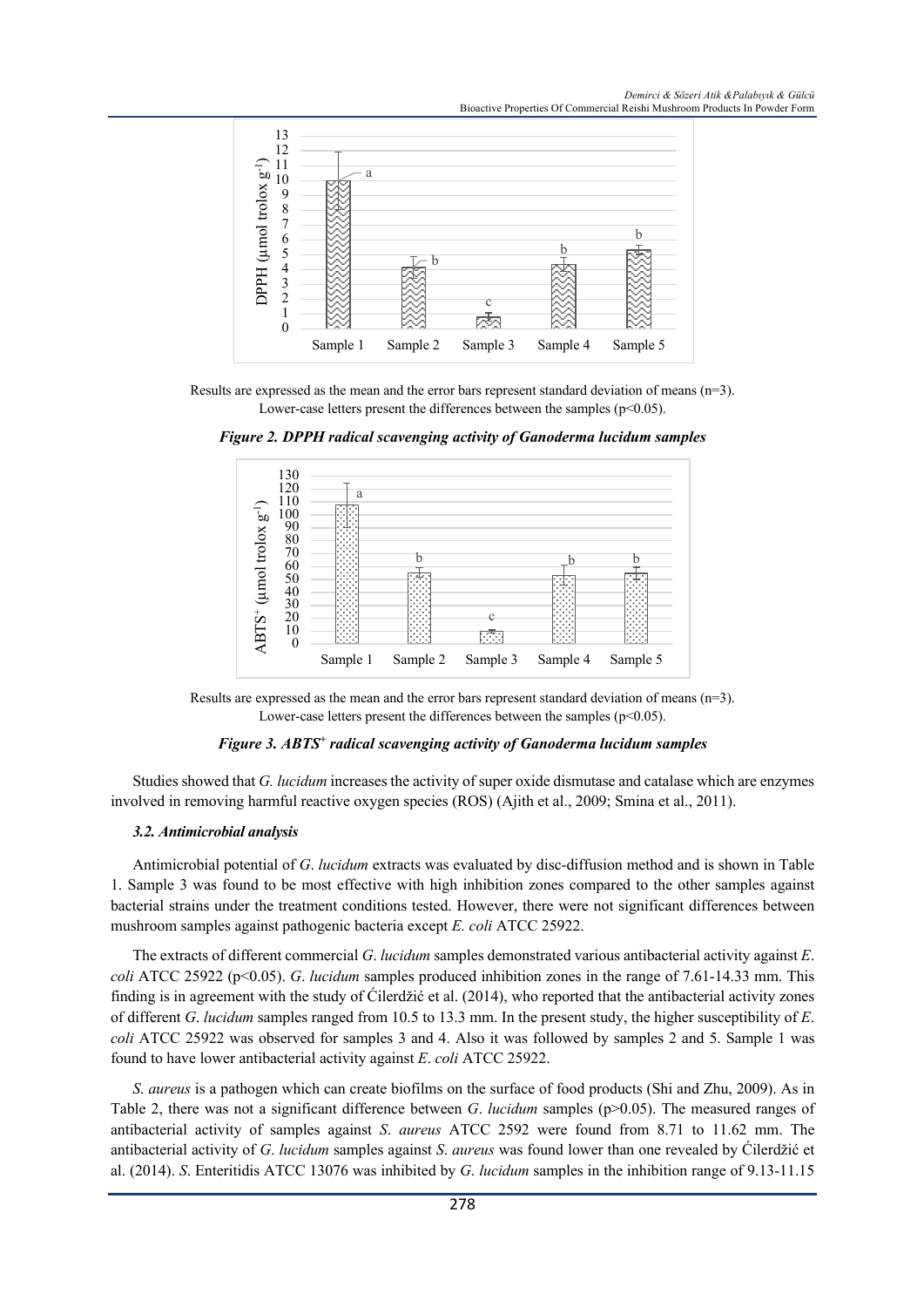*Demirci & Sözeri Atik &Palabıyık & Gülcü* Bioactive Properties Of Commercial Reishi Mushroom Products In Powder Form



Results are expressed as the mean and the error bars represent standard deviation of means (n=3). Lower-case letters present the differences between the samples ( $p<0.05$ ).



*Figure 2. DPPH radical scavenging activity of Ganoderma lucidum samples*

#### *Figure 3. ABTS+ radical scavenging activity of Ganoderma lucidum samples*

Studies showed that *G. lucidum* increases the activity of super oxide dismutase and catalase which are enzymes involved in removing harmful reactive oxygen species (ROS) (Ajith et al., 2009; Smina et al., 2011).

#### *3.2. Antimicrobial analysis*

Antimicrobial potential of *G*. *lucidum* extracts was evaluated by disc-diffusion method and is shown in Table 1. Sample 3 was found to be most effective with high inhibition zones compared to the other samples against bacterial strains under the treatment conditions tested. However, there were not significant differences between mushroom samples against pathogenic bacteria except *E. coli* ATCC 25922.

The extracts of different commercial *G*. *lucidum* samples demonstrated various antibacterial activity against *E*. *coli* ATCC 25922 (p<0.05). *G. lucidum* samples produced inhibition zones in the range of 7.61-14.33 mm. This finding is in agreement with the study of Ćilerdžić et al. (2014), who reported that the antibacterial activity zones of different *G*. *lucidum* samples ranged from 10.5 to 13.3 mm. In the present study, the higher susceptibility of *E*. *coli* ATCC 25922 was observed for samples 3 and 4. Also it was followed by samples 2 and 5. Sample 1 was found to have lower antibacterial activity against *E*. *coli* ATCC 25922.

*S*. *aureus* is a pathogen which can create biofilms on the surface of food products (Shi and Zhu, 2009). As in Table 2, there was not a significant difference between *G. lucidum* samples (p>0.05). The measured ranges of antibacterial activity of samples against *S*. *aureus* ATCC 2592 were found from 8.71 to 11.62 mm. The antibacterial activity of *G*. *lucidum* samples against *S*. *aureus* was found lower than one revealed by Ćilerdžić et al. (2014). *S*. Enteritidis ATCC 13076 was inhibited by *G*. *lucidum* samples in the inhibition range of 9.13-11.15

Results are expressed as the mean and the error bars represent standard deviation of means  $(n=3)$ . Lower-case letters present the differences between the samples  $(p<0.05)$ .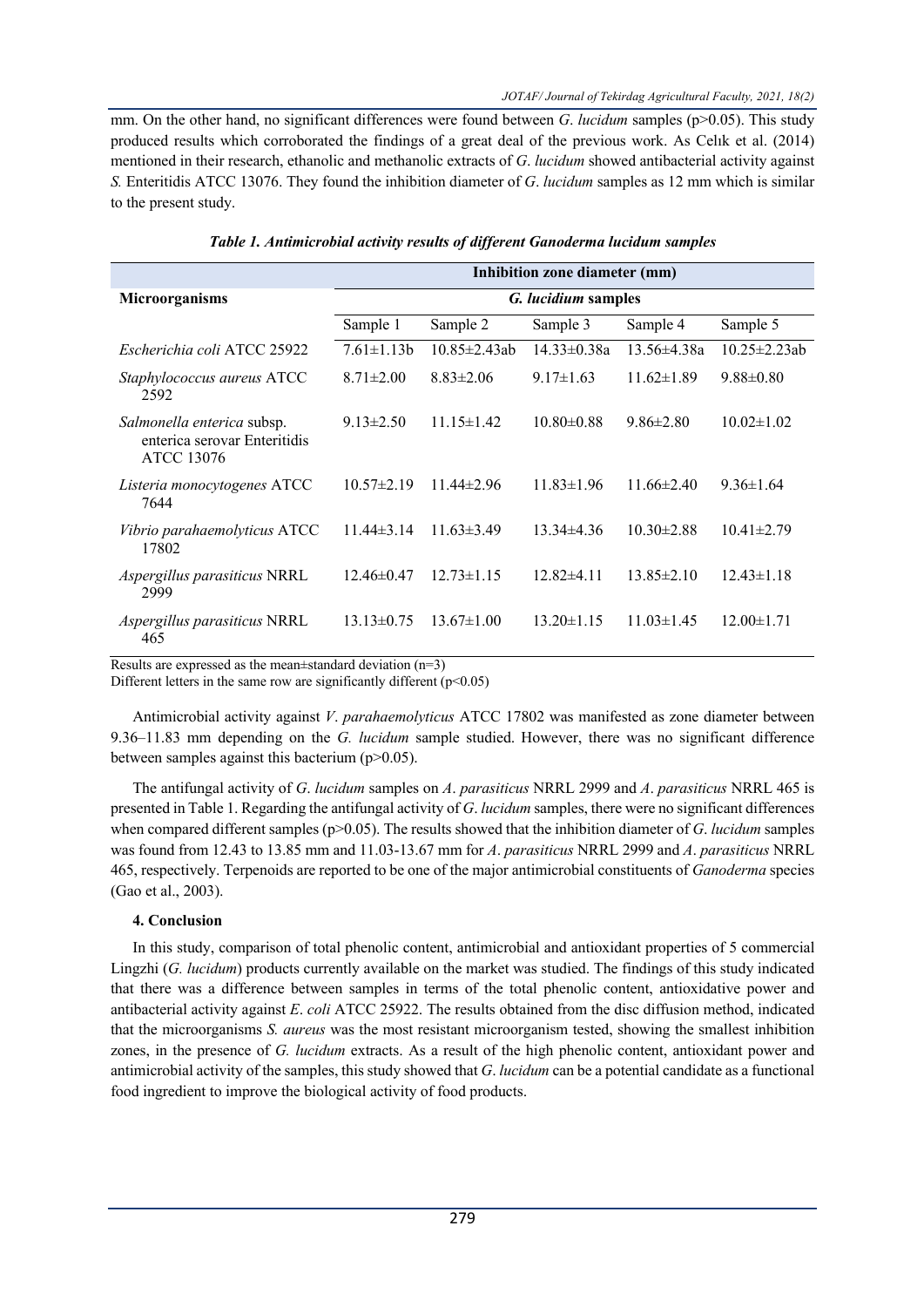mm. On the other hand, no significant differences were found between *G. lucidum* samples (p>0.05). This study produced results which corroborated the findings of a great deal of the previous work. As Celık et al. (2014) mentioned in their research, ethanolic and methanolic extracts of *G*. *lucidum* showed antibacterial activity against *S.* Enteritidis ATCC 13076. They found the inhibition diameter of *G*. *lucidum* samples as 12 mm which is similar to the present study.

|                                                                          | Inhibition zone diameter (mm) |                     |                  |                  |                     |  |  |  |
|--------------------------------------------------------------------------|-------------------------------|---------------------|------------------|------------------|---------------------|--|--|--|
| <b>Microorganisms</b>                                                    | <i>G. lucidium</i> samples    |                     |                  |                  |                     |  |  |  |
|                                                                          | Sample 1                      | Sample 2            | Sample 3         | Sample 4         | Sample 5            |  |  |  |
| Escherichia coli ATCC 25922                                              | $7.61 \pm 1.13b$              | $10.85 \pm 2.43$ ab | $14.33\pm0.38a$  | $13.56\pm4.38a$  | $10.25 \pm 2.23$ ab |  |  |  |
| <i>Staphylococcus aureus</i> ATCC<br>2592                                | $8.71 \pm 2.00$               | $8.83 \pm 2.06$     | $9.17 \pm 1.63$  | $11.62\pm1.89$   | $9.88 \pm 0.80$     |  |  |  |
| Salmonella enterica subsp.<br>enterica serovar Enteritidis<br>ATCC 13076 | $9.13 \pm 2.50$               | $11.15 \pm 1.42$    | $10.80 \pm 0.88$ | $9.86 \pm 2.80$  | $10.02\pm1.02$      |  |  |  |
| Listeria monocytogenes ATCC<br>7644                                      | $10.57 \pm 2.19$              | $11.44 \pm 2.96$    | $11.83 \pm 1.96$ | $11.66\pm2.40$   | $9.36 \pm 1.64$     |  |  |  |
| Vibrio parahaemolyticus ATCC<br>17802                                    | $11.44\pm3.14$                | $11.63\pm3.49$      | $13.34\pm4.36$   | $10.30 \pm 2.88$ | $10.41 \pm 2.79$    |  |  |  |
| <i>Aspergillus parasiticus</i> NRRL<br>2999                              | $12.46 \pm 0.47$              | $12.73 \pm 1.15$    | $12.82\pm4.11$   | $13.85 \pm 2.10$ | $12.43\pm1.18$      |  |  |  |
| Aspergillus parasiticus NRRL<br>465                                      | $13.13\pm0.75$                | $13.67 \pm 1.00$    | $13.20 \pm 1.15$ | $11.03\pm1.45$   | $12.00 \pm 1.71$    |  |  |  |

|  |  |  | Table 1. Antimicrobial activity results of different Ganoderma lucidum samples |  |
|--|--|--|--------------------------------------------------------------------------------|--|
|  |  |  |                                                                                |  |
|  |  |  |                                                                                |  |

Results are expressed as the mean±standard deviation (n=3)

Different letters in the same row are significantly different  $(p<0.05)$ 

Antimicrobial activity against *V*. *parahaemolyticus* ATCC 17802 was manifested as zone diameter between 9.36–11.83 mm depending on the *G. lucidum* sample studied. However, there was no significant difference between samples against this bacterium (p>0.05).

The antifungal activity of *G*. *lucidum* samples on *A*. *parasiticus* NRRL 2999 and *A*. *parasiticus* NRRL 465 is presented in Table 1. Regarding the antifungal activity of *G*. *lucidum* samples, there were no significant differences when compared different samples (p>0.05). The results showed that the inhibition diameter of *G*. *lucidum* samples was found from 12.43 to 13.85 mm and 11.03-13.67 mm for *A*. *parasiticus* NRRL 2999 and *A*. *parasiticus* NRRL 465, respectively. Terpenoids are reported to be one of the major antimicrobial constituents of *Ganoderma* species (Gao et al., 2003).

# **4. Conclusion**

In this study, comparison of total phenolic content, antimicrobial and antioxidant properties of 5 commercial Lingzhi (*G. lucidum*) products currently available on the market was studied. The findings of this study indicated that there was a difference between samples in terms of the total phenolic content, antioxidative power and antibacterial activity against *E*. *coli* ATCC 25922. The results obtained from the disc diffusion method, indicated that the microorganisms *S. aureus* was the most resistant microorganism tested, showing the smallest inhibition zones, in the presence of *G. lucidum* extracts. As a result of the high phenolic content, antioxidant power and antimicrobial activity of the samples, this study showed that *G*. *lucidum* can be a potential candidate as a functional food ingredient to improve the biological activity of food products.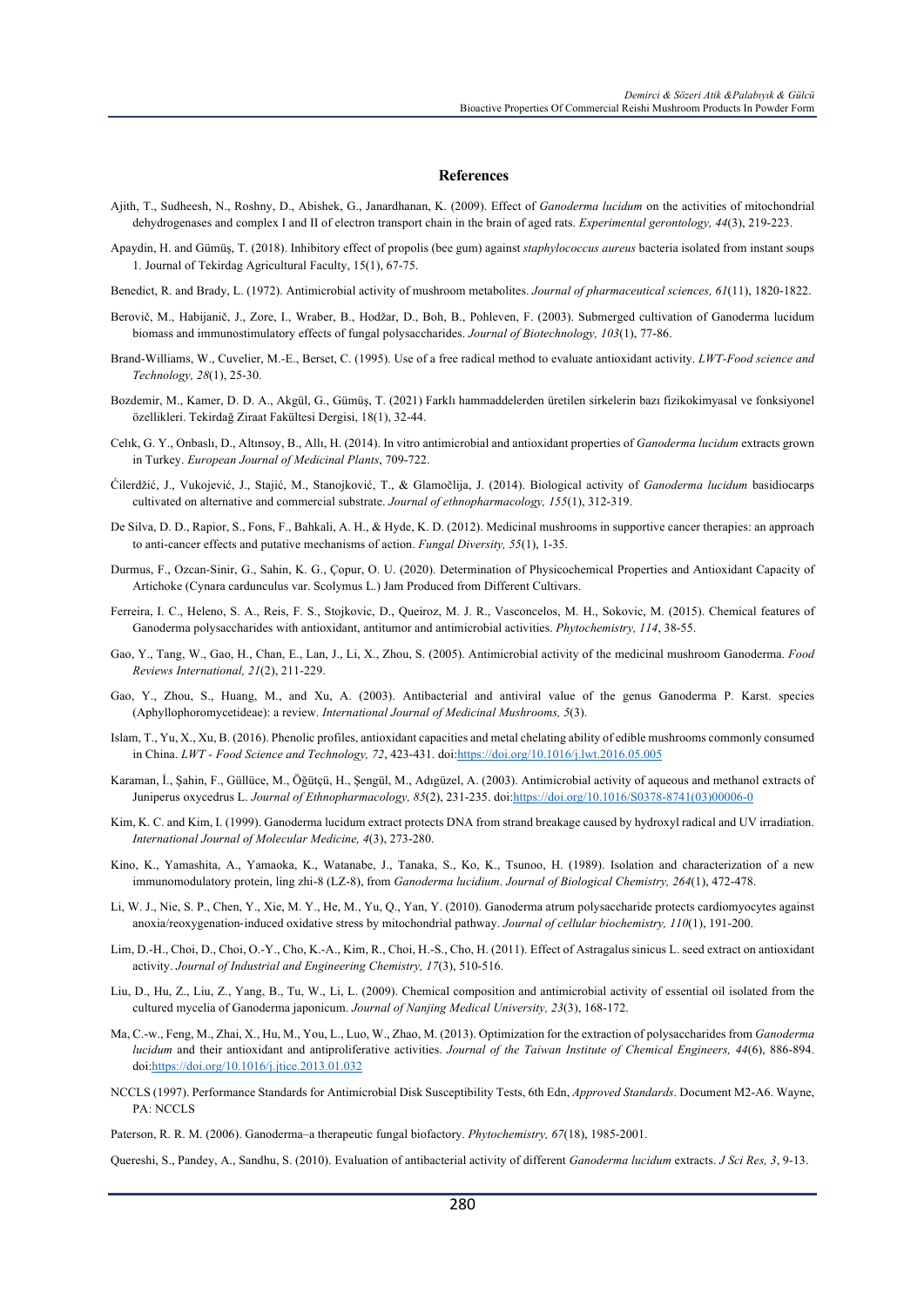#### **References**

- Ajith, T., Sudheesh, N., Roshny, D., Abishek, G., Janardhanan, K. (2009). Effect of *Ganoderma lucidum* on the activities of mitochondrial dehydrogenases and complex I and II of electron transport chain in the brain of aged rats. *Experimental gerontology, 44*(3), 219-223.
- Apaydin, H. and Gümüş, T. (2018). Inhibitory effect of propolis (bee gum) against *staphylococcus aureus* bacteria isolated from instant soups 1. Journal of Tekirdag Agricultural Faculty, 15(1), 67-75.
- Benedict, R. and Brady, L. (1972). Antimicrobial activity of mushroom metabolites. *Journal of pharmaceutical sciences, 61*(11), 1820-1822.
- Berovič, M., Habijanič, J., Zore, I., Wraber, B., Hodžar, D., Boh, B., Pohleven, F. (2003). Submerged cultivation of Ganoderma lucidum biomass and immunostimulatory effects of fungal polysaccharides. *Journal of Biotechnology, 103*(1), 77-86.
- Brand-Williams, W., Cuvelier, M.-E., Berset, C. (1995). Use of a free radical method to evaluate antioxidant activity. *LWT-Food science and Technology, 28*(1), 25-30.
- Bozdemir, M., Kamer, D. D. A., Akgül, G., Gümüş, T. (2021) Farklı hammaddelerden üretilen sirkelerin bazı fizikokimyasal ve fonksiyonel özellikleri. Tekirdağ Ziraat Fakültesi Dergisi, 18(1), 32-44.
- Celık, G. Y., Onbaslı, D., Altınsoy, B., Allı, H. (2014). In vitro antimicrobial and antioxidant properties of *Ganoderma lucidum* extracts grown in Turkey. *European Journal of Medicinal Plants*, 709-722.
- Ćilerdžić, J., Vukojević, J., Stajić, M., Stanojković, T., & Glamočlija, J. (2014). Biological activity of *Ganoderma lucidum* basidiocarps cultivated on alternative and commercial substrate. *Journal of ethnopharmacology, 155*(1), 312-319.
- De Silva, D. D., Rapior, S., Fons, F., Bahkali, A. H., & Hyde, K. D. (2012). Medicinal mushrooms in supportive cancer therapies: an approach to anti-cancer effects and putative mechanisms of action. *Fungal Diversity, 55*(1), 1-35.
- Durmus, F., Ozcan-Sinir, G., Sahin, K. G., Çopur, O. U. (2020). Determination of Physicochemical Properties and Antioxidant Capacity of Artichoke (Cynara cardunculus var. Scolymus L.) Jam Produced from Different Cultivars.
- Ferreira, I. C., Heleno, S. A., Reis, F. S., Stojkovic, D., Queiroz, M. J. R., Vasconcelos, M. H., Sokovic, M. (2015). Chemical features of Ganoderma polysaccharides with antioxidant, antitumor and antimicrobial activities. *Phytochemistry, 114*, 38-55.
- Gao, Y., Tang, W., Gao, H., Chan, E., Lan, J., Li, X., Zhou, S. (2005). Antimicrobial activity of the medicinal mushroom Ganoderma. *Food Reviews International, 21*(2), 211-229.
- Gao, Y., Zhou, S., Huang, M., and Xu, A. (2003). Antibacterial and antiviral value of the genus Ganoderma P. Karst. species (Aphyllophoromycetideae): a review. *International Journal of Medicinal Mushrooms, 5*(3).
- Islam, T., Yu, X., Xu, B. (2016). Phenolic profiles, antioxidant capacities and metal chelating ability of edible mushrooms commonly consumed in China. *LWT - Food Science and Technology, 72*, 423-431. doi:https://doi.org/10.1016/j.lwt.2016.05.005
- Karaman, İ., Şahin, F., Güllüce, M., Öǧütçü, H., Şengül, M., Adıgüzel, A. (2003). Antimicrobial activity of aqueous and methanol extracts of Juniperus oxycedrus L. *Journal of Ethnopharmacology, 85*(2), 231-235. doi:https://doi.org/10.1016/S0378-8741(03)00006-0
- Kim, K. C. and Kim, I. (1999). Ganoderma lucidum extract protects DNA from strand breakage caused by hydroxyl radical and UV irradiation. *International Journal of Molecular Medicine, 4*(3), 273-280.
- Kino, K., Yamashita, A., Yamaoka, K., Watanabe, J., Tanaka, S., Ko, K., Tsunoo, H. (1989). Isolation and characterization of a new immunomodulatory protein, ling zhi-8 (LZ-8), from *Ganoderma lucidium*. *Journal of Biological Chemistry, 264*(1), 472-478.
- Li, W. J., Nie, S. P., Chen, Y., Xie, M. Y., He, M., Yu, Q., Yan, Y. (2010). Ganoderma atrum polysaccharide protects cardiomyocytes against anoxia/reoxygenation-induced oxidative stress by mitochondrial pathway. *Journal of cellular biochemistry, 110*(1), 191-200.
- Lim, D.-H., Choi, D., Choi, O.-Y., Cho, K.-A., Kim, R., Choi, H.-S., Cho, H. (2011). Effect of Astragalus sinicus L. seed extract on antioxidant activity. *Journal of Industrial and Engineering Chemistry, 17*(3), 510-516.
- Liu, D., Hu, Z., Liu, Z., Yang, B., Tu, W., Li, L. (2009). Chemical composition and antimicrobial activity of essential oil isolated from the cultured mycelia of Ganoderma japonicum. *Journal of Nanjing Medical University, 23*(3), 168-172.
- Ma, C.-w., Feng, M., Zhai, X., Hu, M., You, L., Luo, W., Zhao, M. (2013). Optimization for the extraction of polysaccharides from *Ganoderma lucidum* and their antioxidant and antiproliferative activities. *Journal of the Taiwan Institute of Chemical Engineers, 44*(6), 886-894. doi:https://doi.org/10.1016/j.jtice.2013.01.032
- NCCLS (1997). Performance Standards for Antimicrobial Disk Susceptibility Tests, 6th Edn, *Approved Standards*. Document M2-A6. Wayne, PA: NCCLS
- Paterson, R. R. M. (2006). Ganoderma–a therapeutic fungal biofactory. *Phytochemistry, 67*(18), 1985-2001.

Quereshi, S., Pandey, A., Sandhu, S. (2010). Evaluation of antibacterial activity of different *Ganoderma lucidum* extracts. *J Sci Res, 3*, 9-13.